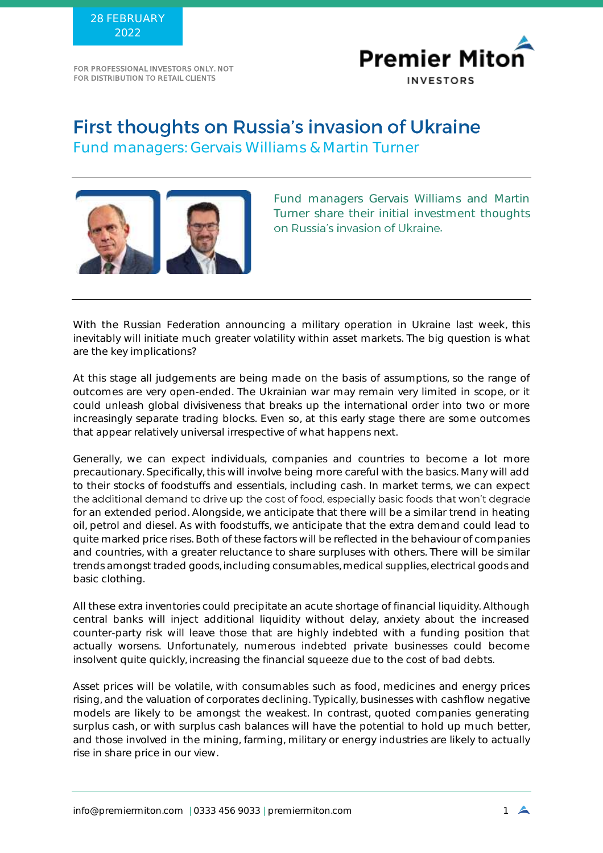FOR PROFESSIONAL INVESTORS ONLY. NOT FOR DISTRIBUTION TO RETAIL CLIENTS



## First thoughts on Russia's invasion of Ukraine

Fund managers: Gervais Williams & Martin Turner



Fund managers Gervais Williams and Martin Turner share their initial investment thoughts on Russia's invasion of Ukraine. .

With the Russian Federation announcing a military operation in Ukraine last week, this inevitably will initiate much greater volatility within asset markets. The big question is what are the key implications?

At this stage all judgements are being made on the basis of assumptions, so the range of outcomes are very open-ended. The Ukrainian war may remain very limited in scope, or it could unleash global divisiveness that breaks up the international order into two or more increasingly separate trading blocks. Even so, at this early stage there are some outcomes that appear relatively universal irrespective of what happens next.

Generally, we can expect individuals, companies and countries to become a lot more precautionary. Specifically, this will involve being more careful with the basics. Many will add to their stocks of foodstuffs and essentials, including cash. In market terms, we can expect the additional demand to drive up the cost of food, especially basic foods that won't degrade for an extended period. Alongside, we anticipate that there will be a similar trend in heating oil, petrol and diesel. As with foodstuffs, we anticipate that the extra demand could lead to quite marked price rises. Both of these factors will be reflected in the behaviour of companies and countries, with a greater reluctance to share surpluses with others. There will be similar trends amongst traded goods, including consumables, medical supplies, electrical goods and basic clothing.

All these extra inventories could precipitate an acute shortage of financial liquidity. Although central banks will inject additional liquidity without delay, anxiety about the increased counter-party risk will leave those that are highly indebted with a funding position that actually worsens. Unfortunately, numerous indebted private businesses could become insolvent quite quickly, increasing the financial squeeze due to the cost of bad debts.

Asset prices will be volatile, with consumables such as food, medicines and energy prices rising, and the valuation of corporates declining. Typically, businesses with cashflow negative models are likely to be amongst the weakest. In contrast, quoted companies generating surplus cash, or with surplus cash balances will have the potential to hold up much better, and those involved in the mining, farming, military or energy industries are likely to actually rise in share price in our view.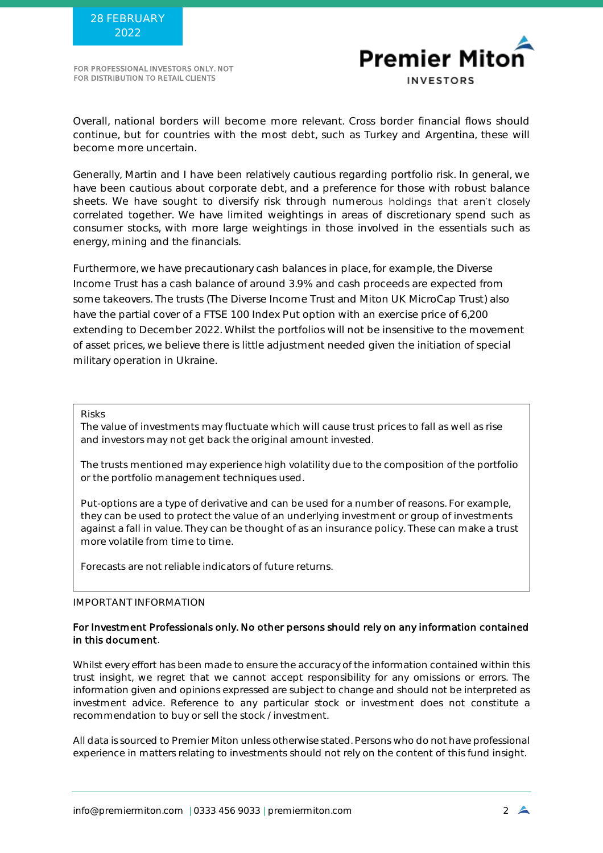FOR PROFESSIONAL INVESTORS ONLY. NOT FOR DISTRIBUTION TO RETAIL CLIENTS



Overall, national borders will become more relevant. Cross border financial flows should continue, but for countries with the most debt, such as Turkey and Argentina, these will become more uncertain.

Generally, Martin and I have been relatively cautious regarding portfolio risk. In general, we have been cautious about corporate debt, and a preference for those with robust balance sheets. We have sought to diversify risk through numerous holdings that aren't closely correlated together. We have limited weightings in areas of discretionary spend such as consumer stocks, with more large weightings in those involved in the essentials such as energy, mining and the financials.

Furthermore, we have precautionary cash balances in place, for example, the Diverse Income Trust has a cash balance of around 3.9% and cash proceeds are expected from some takeovers. The trusts (The Diverse Income Trust and Miton UK MicroCap Trust) also have the partial cover of a FTSE 100 Index Put option with an exercise price of 6,200 extending to December 2022. Whilst the portfolios will not be insensitive to the movement of asset prices, we believe there is little adjustment needed given the initiation of special military operation in Ukraine.

Risks

The value of investments may fluctuate which will cause trust prices to fall as well as rise and investors may not get back the original amount invested.

The trusts mentioned may experience high volatility due to the composition of the portfolio or the portfolio management techniques used.

Put-options are a type of derivative and can be used for a number of reasons. For example, they can be used to protect the value of an underlying investment or group of investments against a fall in value. They can be thought of as an insurance policy. These can make a trust more volatile from time to time.

Forecasts are not reliable indicators of future returns.

IMPORTANT INFORMATION

## For Investment Professionals only. No other persons should rely on any information contained in this document.

Whilst every effort has been made to ensure the accuracy of the information contained within this trust insight, we regret that we cannot accept responsibility for any omissions or errors. The information given and opinions expressed are subject to change and should not be interpreted as investment advice. Reference to any particular stock or investment does not constitute a recommendation to buy or sell the stock / investment.

All data is sourced to Premier Miton unless otherwise stated. Persons who do not have professional experience in matters relating to investments should not rely on the content of this fund insight.